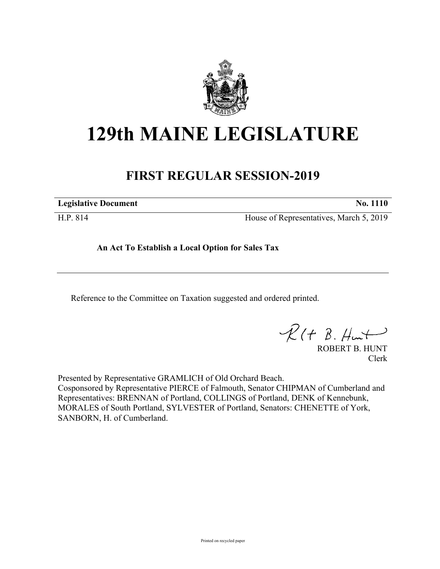

## **129th MAINE LEGISLATURE**

## **FIRST REGULAR SESSION-2019**

**Legislative Document No. 1110**

H.P. 814 House of Representatives, March 5, 2019

**An Act To Establish a Local Option for Sales Tax**

Reference to the Committee on Taxation suggested and ordered printed.

 $R(H B. H<sub>ur</sub>)$ 

ROBERT B. HUNT Clerk

Presented by Representative GRAMLICH of Old Orchard Beach. Cosponsored by Representative PIERCE of Falmouth, Senator CHIPMAN of Cumberland and Representatives: BRENNAN of Portland, COLLINGS of Portland, DENK of Kennebunk, MORALES of South Portland, SYLVESTER of Portland, Senators: CHENETTE of York, SANBORN, H. of Cumberland.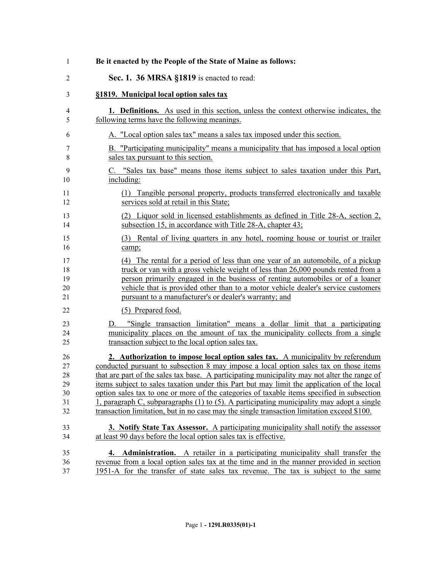| 1              | Be it enacted by the People of the State of Maine as follows:                                                                                                                                                                                                        |
|----------------|----------------------------------------------------------------------------------------------------------------------------------------------------------------------------------------------------------------------------------------------------------------------|
| $\overline{2}$ | Sec. 1. 36 MRSA §1819 is enacted to read:                                                                                                                                                                                                                            |
| 3              | §1819. Municipal local option sales tax                                                                                                                                                                                                                              |
| 4              | <b>1. Definitions.</b> As used in this section, unless the context otherwise indicates, the                                                                                                                                                                          |
| 5              | following terms have the following meanings.                                                                                                                                                                                                                         |
| 6              | A. "Local option sales tax" means a sales tax imposed under this section.                                                                                                                                                                                            |
| 7              | B. "Participating municipality" means a municipality that has imposed a local option                                                                                                                                                                                 |
| 8              | sales tax pursuant to this section.                                                                                                                                                                                                                                  |
| 9              | C. "Sales tax base" means those items subject to sales taxation under this Part,                                                                                                                                                                                     |
| 10             | including:                                                                                                                                                                                                                                                           |
| 11             | (1) Tangible personal property, products transferred electronically and taxable                                                                                                                                                                                      |
| 12             | services sold at retail in this State;                                                                                                                                                                                                                               |
| 13             | (2) Liquor sold in licensed establishments as defined in Title 28-A, section 2,                                                                                                                                                                                      |
| 14             | subsection 15, in accordance with Title 28-A, chapter 43;                                                                                                                                                                                                            |
| 15             | (3) Rental of living quarters in any hotel, rooming house or tourist or trailer                                                                                                                                                                                      |
| 16             | camp;                                                                                                                                                                                                                                                                |
| 17             | (4) The rental for a period of less than one year of an automobile, of a pickup                                                                                                                                                                                      |
| 18             | truck or van with a gross vehicle weight of less than 26,000 pounds rented from a                                                                                                                                                                                    |
| 19             | person primarily engaged in the business of renting automobiles or of a loaner                                                                                                                                                                                       |
| 20             | vehicle that is provided other than to a motor vehicle dealer's service customers                                                                                                                                                                                    |
| 21             | pursuant to a manufacturer's or dealer's warranty; and                                                                                                                                                                                                               |
| 22             | (5) Prepared food.                                                                                                                                                                                                                                                   |
| 23<br>24<br>25 | "Single transaction limitation" means a dollar limit that a participating<br>D.<br>municipality places on the amount of tax the municipality collects from a single<br>transaction subject to the local option sales tax.                                            |
| 26             | 2. Authorization to impose local option sales tax. A municipality by referendum                                                                                                                                                                                      |
| 27             | conducted pursuant to subsection 8 may impose a local option sales tax on those items                                                                                                                                                                                |
| 28             | that are part of the sales tax base. A participating municipality may not alter the range of                                                                                                                                                                         |
| 29             | items subject to sales taxation under this Part but may limit the application of the local                                                                                                                                                                           |
| 30             | option sales tax to one or more of the categories of taxable items specified in subsection                                                                                                                                                                           |
| 31             | 1, paragraph C, subparagraphs $(1)$ to $(5)$ . A participating municipality may adopt a single                                                                                                                                                                       |
| 32             | transaction limitation, but in no case may the single transaction limitation exceed \$100.                                                                                                                                                                           |
| 33             | 3. Notify State Tax Assessor. A participating municipality shall notify the assessor                                                                                                                                                                                 |
| 34             | at least 90 days before the local option sales tax is effective.                                                                                                                                                                                                     |
| 35<br>36<br>37 | Administration. A retailer in a participating municipality shall transfer the<br>4.<br>revenue from a local option sales tax at the time and in the manner provided in section<br>1951-A for the transfer of state sales tax revenue. The tax is subject to the same |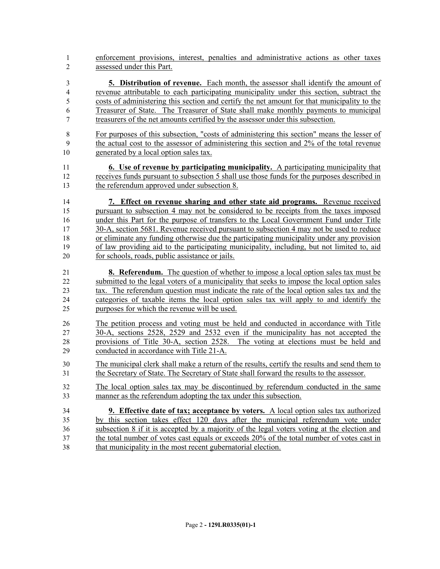enforcement provisions, interest, penalties and administrative actions as other taxes assessed under this Part.

 **5. Distribution of revenue.** Each month, the assessor shall identify the amount of revenue attributable to each participating municipality under this section, subtract the costs of administering this section and certify the net amount for that municipality to the Treasurer of State. The Treasurer of State shall make monthly payments to municipal treasurers of the net amounts certified by the assessor under this subsection.

 For purposes of this subsection, "costs of administering this section" means the lesser of the actual cost to the assessor of administering this section and 2% of the total revenue generated by a local option sales tax.

 **6. Use of revenue by participating municipality.** A participating municipality that receives funds pursuant to subsection 5 shall use those funds for the purposes described in the referendum approved under subsection 8.

 **7. Effect on revenue sharing and other state aid programs.** Revenue received pursuant to subsection 4 may not be considered to be receipts from the taxes imposed under this Part for the purpose of transfers to the Local Government Fund under Title 30-A, section 5681. Revenue received pursuant to subsection 4 may not be used to reduce or eliminate any funding otherwise due the participating municipality under any provision of law providing aid to the participating municipality, including, but not limited to, aid for schools, roads, public assistance or jails.

 **8. Referendum.** The question of whether to impose a local option sales tax must be submitted to the legal voters of a municipality that seeks to impose the local option sales tax. The referendum question must indicate the rate of the local option sales tax and the categories of taxable items the local option sales tax will apply to and identify the purposes for which the revenue will be used.

 The petition process and voting must be held and conducted in accordance with Title 30-A, sections 2528, 2529 and 2532 even if the municipality has not accepted the provisions of Title 30-A, section 2528. The voting at elections must be held and conducted in accordance with Title 21-A.

 The municipal clerk shall make a return of the results, certify the results and send them to the Secretary of State. The Secretary of State shall forward the results to the assessor.

 The local option sales tax may be discontinued by referendum conducted in the same manner as the referendum adopting the tax under this subsection.

 **9. Effective date of tax; acceptance by voters.** A local option sales tax authorized by this section takes effect 120 days after the municipal referendum vote under subsection 8 if it is accepted by a majority of the legal voters voting at the election and the total number of votes cast equals or exceeds 20% of the total number of votes cast in that municipality in the most recent gubernatorial election.